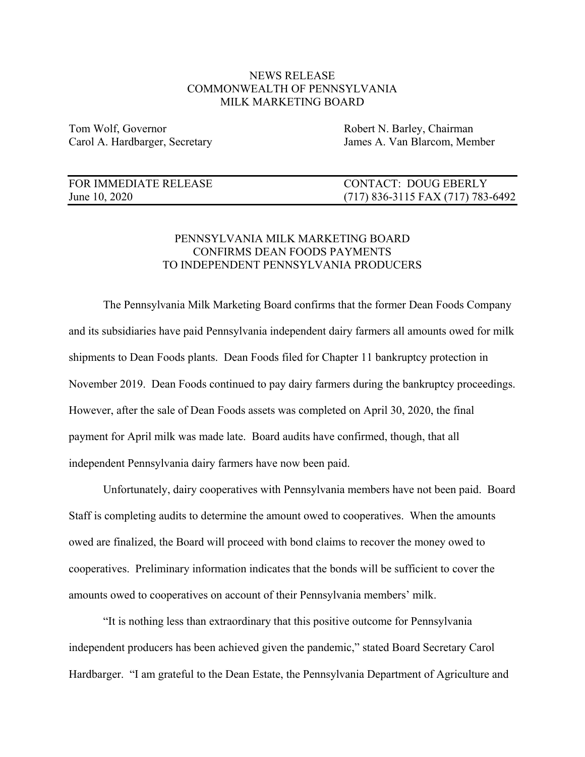## NEWS RELEASE COMMONWEALTH OF PENNSYLVANIA MILK MARKETING BOARD

Tom Wolf, Governor Tom Wolf, Governor Robert N. Barley, Chairman

Carol A. Hardbarger, Secretary James A. Van Blarcom, Member

| FOR IMMEDIATE RELEASE | <b>CONTACT: DOUG EBERLY</b>         |
|-----------------------|-------------------------------------|
| June 10, 2020         | $(717)$ 836-3115 FAX (717) 783-6492 |

## PENNSYLVANIA MILK MARKETING BOARD CONFIRMS DEAN FOODS PAYMENTS TO INDEPENDENT PENNSYLVANIA PRODUCERS

The Pennsylvania Milk Marketing Board confirms that the former Dean Foods Company and its subsidiaries have paid Pennsylvania independent dairy farmers all amounts owed for milk shipments to Dean Foods plants. Dean Foods filed for Chapter 11 bankruptcy protection in November 2019. Dean Foods continued to pay dairy farmers during the bankruptcy proceedings. However, after the sale of Dean Foods assets was completed on April 30, 2020, the final payment for April milk was made late. Board audits have confirmed, though, that all independent Pennsylvania dairy farmers have now been paid.

Unfortunately, dairy cooperatives with Pennsylvania members have not been paid. Board Staff is completing audits to determine the amount owed to cooperatives. When the amounts owed are finalized, the Board will proceed with bond claims to recover the money owed to cooperatives. Preliminary information indicates that the bonds will be sufficient to cover the amounts owed to cooperatives on account of their Pennsylvania members' milk.

"It is nothing less than extraordinary that this positive outcome for Pennsylvania independent producers has been achieved given the pandemic," stated Board Secretary Carol Hardbarger. "I am grateful to the Dean Estate, the Pennsylvania Department of Agriculture and